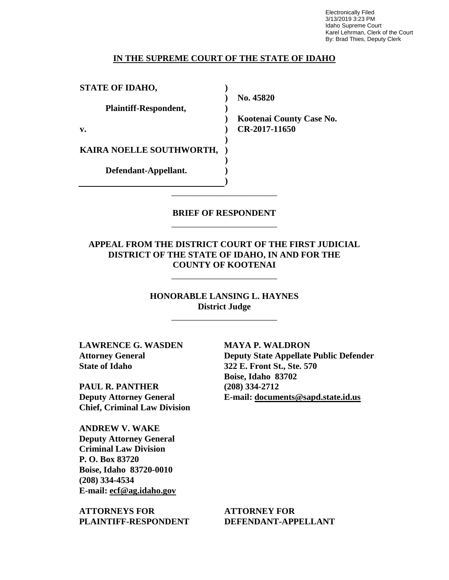Electronically Filed 3/13/2019 3:23 PM Idaho Supreme Court Karel Lehrman, Clerk of the Court By: Brad Thies, Deputy Clerk

#### **IN THE SUPREME COURT OF THE STATE OF IDAHO**

| <b>STATE OF IDAHO,</b>   |                          |
|--------------------------|--------------------------|
|                          | No. 45820                |
| Plaintiff-Respondent,    |                          |
|                          | Kootenai County Case No. |
| v.                       | CR-2017-11650            |
|                          |                          |
| KAIRA NOELLE SOUTHWORTH, |                          |
|                          |                          |
| Defendant-Appellant.     |                          |
|                          |                          |

## **BRIEF OF RESPONDENT** \_\_\_\_\_\_\_\_\_\_\_\_\_\_\_\_\_\_\_\_\_\_\_\_

\_\_\_\_\_\_\_\_\_\_\_\_\_\_\_\_\_\_\_\_\_\_\_\_

### **APPEAL FROM THE DISTRICT COURT OF THE FIRST JUDICIAL DISTRICT OF THE STATE OF IDAHO, IN AND FOR THE COUNTY OF KOOTENAI**

\_\_\_\_\_\_\_\_\_\_\_\_\_\_\_\_\_\_\_\_\_\_\_\_

**HONORABLE LANSING L. HAYNES District Judge**

\_\_\_\_\_\_\_\_\_\_\_\_\_\_\_\_\_\_\_\_\_\_\_\_

**LAWRENCE G. WASDEN Attorney General State of Idaho**

**PAUL R. PANTHER Deputy Attorney General Chief, Criminal Law Division**

**ANDREW V. WAKE Deputy Attorney General Criminal Law Division P. O. Box 83720 Boise, Idaho 83720-0010 (208) 334-4534 E-mail: ecf@ag.idaho.gov** 

**ATTORNEYS FOR PLAINTIFF-RESPONDENT** **MAYA P. WALDRON Deputy State Appellate Public Defender 322 E. Front St., Ste. 570**

**Boise, Idaho 83702 (208) 334-2712 E-mail: documents@sapd.state.id.us** 

**ATTORNEY FOR DEFENDANT-APPELLANT**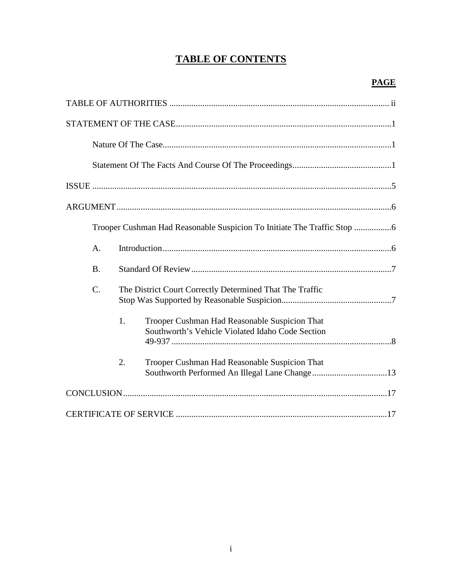## **TABLE OF CONTENTS**

| A.                                                                                                      |
|---------------------------------------------------------------------------------------------------------|
| <b>B.</b>                                                                                               |
| $\mathcal{C}$ .<br>The District Court Correctly Determined That The Traffic                             |
| 1.<br>Trooper Cushman Had Reasonable Suspicion That<br>Southworth's Vehicle Violated Idaho Code Section |
| 2.<br>Trooper Cushman Had Reasonable Suspicion That                                                     |
|                                                                                                         |
|                                                                                                         |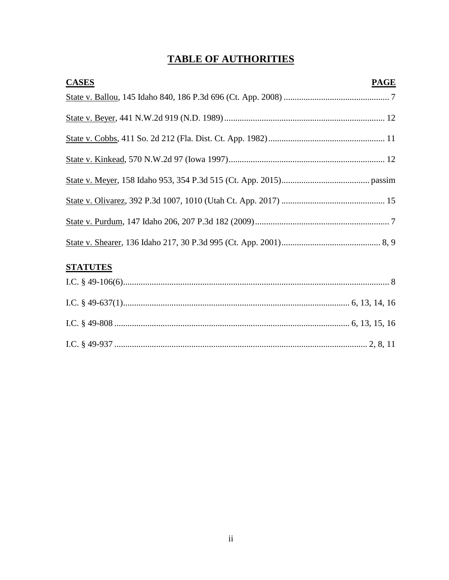# **TABLE OF AUTHORITIES**

| <b>CASES</b> | <b>PAGE</b> |
|--------------|-------------|
|              |             |
|              |             |
|              |             |
|              |             |
|              |             |
|              |             |
|              |             |
|              |             |

## **STATUTES**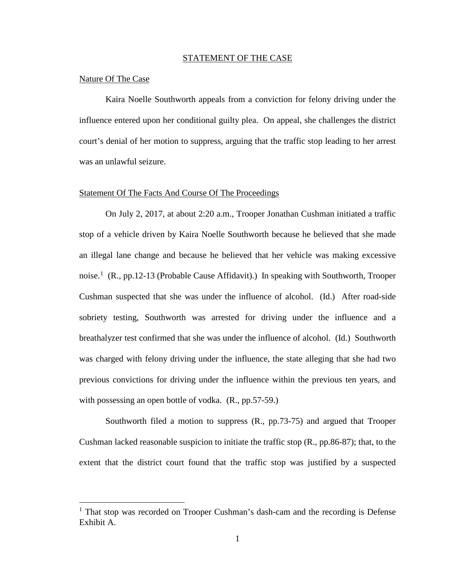#### STATEMENT OF THE CASE

#### Nature Of The Case

 $\overline{a}$ 

Kaira Noelle Southworth appeals from a conviction for felony driving under the influence entered upon her conditional guilty plea. On appeal, she challenges the district court's denial of her motion to suppress, arguing that the traffic stop leading to her arrest was an unlawful seizure.

#### Statement Of The Facts And Course Of The Proceedings

On July 2, 2017, at about 2:20 a.m., Trooper Jonathan Cushman initiated a traffic stop of a vehicle driven by Kaira Noelle Southworth because he believed that she made an illegal lane change and because he believed that her vehicle was making excessive noise.<sup>[1](#page--1-0)</sup> (R., pp.12-13 (Probable Cause Affidavit).) In speaking with Southworth, Trooper Cushman suspected that she was under the influence of alcohol. (Id.) After road-side sobriety testing, Southworth was arrested for driving under the influence and a breathalyzer test confirmed that she was under the influence of alcohol. (Id.) Southworth was charged with felony driving under the influence, the state alleging that she had two previous convictions for driving under the influence within the previous ten years, and with possessing an open bottle of vodka.  $(R., pp.57-59.)$ 

Southworth filed a motion to suppress (R., pp.73-75) and argued that Trooper Cushman lacked reasonable suspicion to initiate the traffic stop (R., pp.86-87); that, to the extent that the district court found that the traffic stop was justified by a suspected

 $<sup>1</sup>$  That stop was recorded on Trooper Cushman's dash-cam and the recording is Defense</sup> Exhibit A.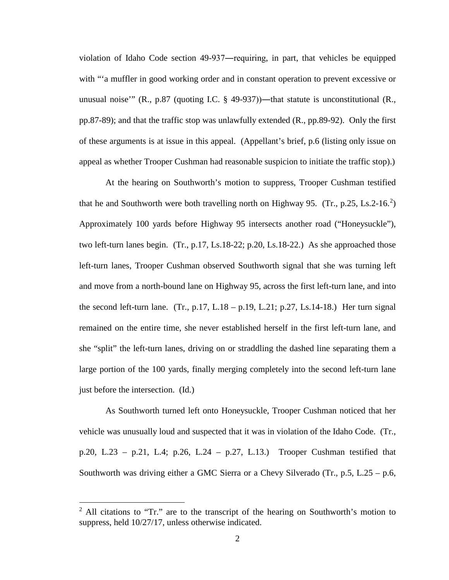violation of Idaho Code section 49-937―requiring, in part, that vehicles be equipped with "'a muffler in good working order and in constant operation to prevent excessive or unusual noise'" (R., p.87 (quoting I.C.  $\S$  49-937))—that statute is unconstitutional (R., pp.87-89); and that the traffic stop was unlawfully extended (R., pp.89-92). Only the first of these arguments is at issue in this appeal. (Appellant's brief, p.6 (listing only issue on appeal as whether Trooper Cushman had reasonable suspicion to initiate the traffic stop).)

At the hearing on Southworth's motion to suppress, Trooper Cushman testified that he and Southworth were both travelling north on Highway 95.  $(Tr., p.25, Ls.2-16.^2)$  $(Tr., p.25, Ls.2-16.^2)$  $(Tr., p.25, Ls.2-16.^2)$ Approximately 100 yards before Highway 95 intersects another road ("Honeysuckle"), two left-turn lanes begin. (Tr., p.17, Ls.18-22; p.20, Ls.18-22.) As she approached those left-turn lanes, Trooper Cushman observed Southworth signal that she was turning left and move from a north-bound lane on Highway 95, across the first left-turn lane, and into the second left-turn lane. (Tr., p.17, L.18 – p.19, L.21; p.27, Ls.14-18.) Her turn signal remained on the entire time, she never established herself in the first left-turn lane, and she "split" the left-turn lanes, driving on or straddling the dashed line separating them a large portion of the 100 yards, finally merging completely into the second left-turn lane just before the intersection. (Id.)

As Southworth turned left onto Honeysuckle, Trooper Cushman noticed that her vehicle was unusually loud and suspected that it was in violation of the Idaho Code. (Tr., p.20, L.23 – p.21, L.4; p.26, L.24 – p.27, L.13.) Trooper Cushman testified that Southworth was driving either a GMC Sierra or a Chevy Silverado (Tr.,  $p.5$ , L.25 –  $p.6$ ,

<sup>&</sup>lt;sup>2</sup> All citations to "Tr." are to the transcript of the hearing on Southworth's motion to suppress, held 10/27/17, unless otherwise indicated.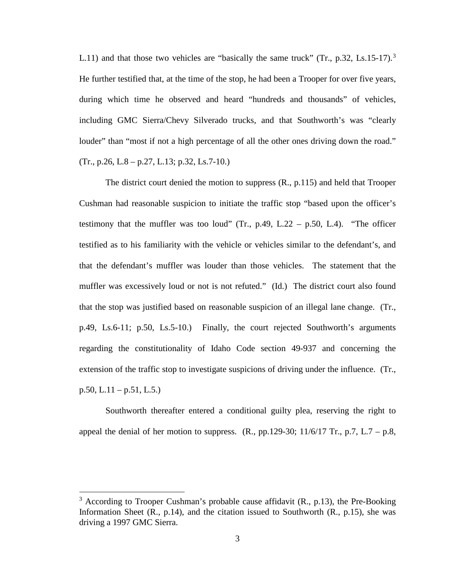L.11) and that those two vehicles are "basically the same truck" (Tr., p.[3](#page--1-1)2, Ls.15-17).<sup>3</sup> He further testified that, at the time of the stop, he had been a Trooper for over five years, during which time he observed and heard "hundreds and thousands" of vehicles, including GMC Sierra/Chevy Silverado trucks, and that Southworth's was "clearly louder" than "most if not a high percentage of all the other ones driving down the road."  $(Tr., p.26, L.8 - p.27, L.13; p.32, Ls.7-10.)$ 

The district court denied the motion to suppress (R., p.115) and held that Trooper Cushman had reasonable suspicion to initiate the traffic stop "based upon the officer's testimony that the muffler was too loud" (Tr.,  $p.49$ , L.22 –  $p.50$ , L.4). "The officer testified as to his familiarity with the vehicle or vehicles similar to the defendant's, and that the defendant's muffler was louder than those vehicles. The statement that the muffler was excessively loud or not is not refuted." (Id.) The district court also found that the stop was justified based on reasonable suspicion of an illegal lane change. (Tr., p.49, Ls.6-11; p.50, Ls.5-10.) Finally, the court rejected Southworth's arguments regarding the constitutionality of Idaho Code section 49-937 and concerning the extension of the traffic stop to investigate suspicions of driving under the influence. (Tr.,  $p.50, L.11 - p.51, L.5.$ 

Southworth thereafter entered a conditional guilty plea, reserving the right to appeal the denial of her motion to suppress.  $(R., pp.129-30; 11/6/17 \text{ Tr.}, p.7, L.7 - p.8,$ 

 $3$  According to Trooper Cushman's probable cause affidavit (R., p.13), the Pre-Booking Information Sheet  $(R_1, p.14)$ , and the citation issued to Southworth  $(R_1, p.15)$ , she was driving a 1997 GMC Sierra.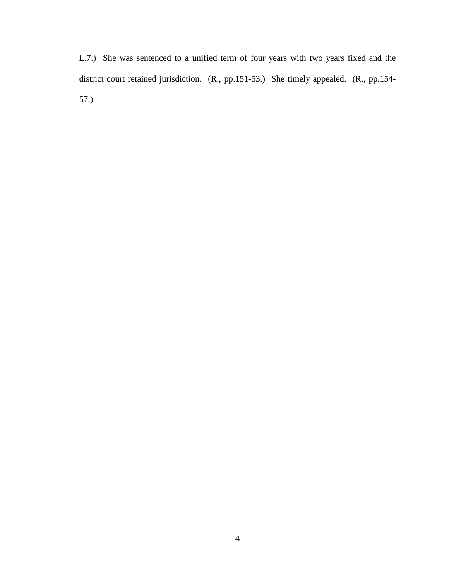L.7.) She was sentenced to a unified term of four years with two years fixed and the district court retained jurisdiction. (R., pp.151-53.) She timely appealed. (R., pp.154- 57.)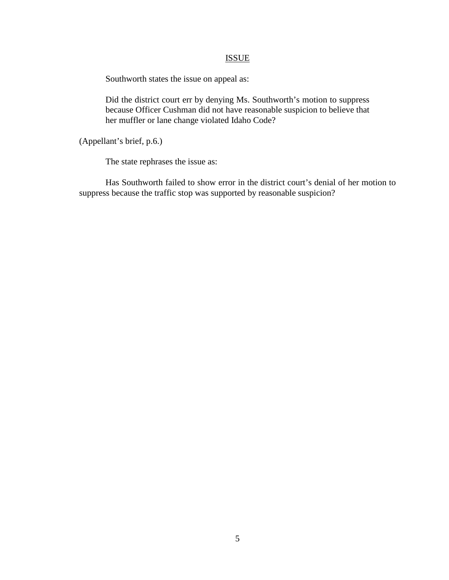#### ISSUE

Southworth states the issue on appeal as:

Did the district court err by denying Ms. Southworth's motion to suppress because Officer Cushman did not have reasonable suspicion to believe that her muffler or lane change violated Idaho Code?

(Appellant's brief, p.6.)

The state rephrases the issue as:

Has Southworth failed to show error in the district court's denial of her motion to suppress because the traffic stop was supported by reasonable suspicion?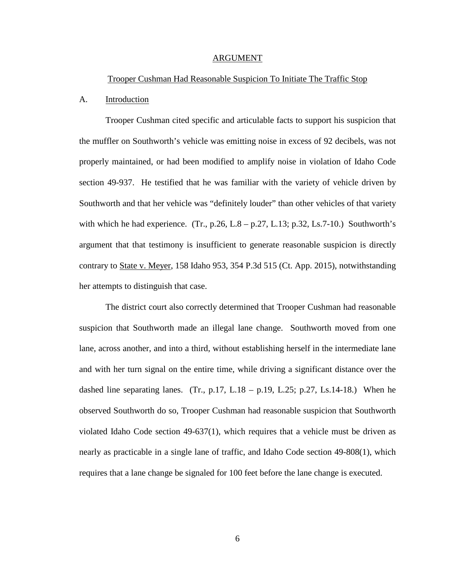#### ARGUMENT

#### Trooper Cushman Had Reasonable Suspicion To Initiate The Traffic Stop

#### A. Introduction

Trooper Cushman cited specific and articulable facts to support his suspicion that the muffler on Southworth's vehicle was emitting noise in excess of 92 decibels, was not properly maintained, or had been modified to amplify noise in violation of Idaho Code section 49-937. He testified that he was familiar with the variety of vehicle driven by Southworth and that her vehicle was "definitely louder" than other vehicles of that variety with which he had experience. (Tr., p.26, L.8 – p.27, L.13; p.32, Ls.7-10.) Southworth's argument that that testimony is insufficient to generate reasonable suspicion is directly contrary to State v. Meyer, 158 Idaho 953, 354 P.3d 515 (Ct. App. 2015), notwithstanding her attempts to distinguish that case.

The district court also correctly determined that Trooper Cushman had reasonable suspicion that Southworth made an illegal lane change. Southworth moved from one lane, across another, and into a third, without establishing herself in the intermediate lane and with her turn signal on the entire time, while driving a significant distance over the dashed line separating lanes. (Tr., p.17, L.18 – p.19, L.25; p.27, Ls.14-18.) When he observed Southworth do so, Trooper Cushman had reasonable suspicion that Southworth violated Idaho Code section  $49-637(1)$ , which requires that a vehicle must be driven as nearly as practicable in a single lane of traffic, and Idaho Code section 49-808(1), which requires that a lane change be signaled for 100 feet before the lane change is executed.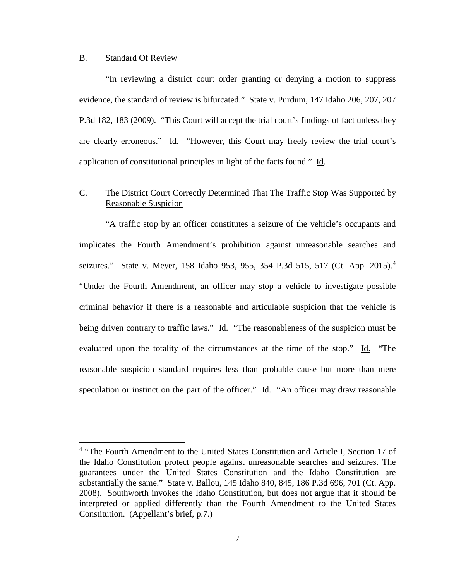#### B. Standard Of Review

 $\overline{a}$ 

 "In reviewing a district court order granting or denying a motion to suppress evidence, the standard of review is bifurcated." State v. Purdum, 147 Idaho 206, 207, 207 P.3d 182, 183 (2009). "This Court will accept the trial court's findings of fact unless they are clearly erroneous." Id. "However, this Court may freely review the trial court's application of constitutional principles in light of the facts found." Id.

## C. The District Court Correctly Determined That The Traffic Stop Was Supported by Reasonable Suspicion

 "A traffic stop by an officer constitutes a seizure of the vehicle's occupants and implicates the Fourth Amendment's prohibition against unreasonable searches and seizures." State v. Meyer, 158 Idaho 953, 955, 35[4](#page--1-2) P.3d 515, 517 (Ct. App. 2015).<sup>4</sup> "Under the Fourth Amendment, an officer may stop a vehicle to investigate possible criminal behavior if there is a reasonable and articulable suspicion that the vehicle is being driven contrary to traffic laws." Id. "The reasonableness of the suspicion must be evaluated upon the totality of the circumstances at the time of the stop." Id. "The reasonable suspicion standard requires less than probable cause but more than mere speculation or instinct on the part of the officer." Id. "An officer may draw reasonable

<sup>&</sup>lt;sup>4</sup> "The Fourth Amendment to the United States Constitution and Article I, Section 17 of the Idaho Constitution protect people against unreasonable searches and seizures. The guarantees under the United States Constitution and the Idaho Constitution are substantially the same." State v. Ballou, 145 Idaho 840, 845, 186 P.3d 696, 701 (Ct. App. 2008). Southworth invokes the Idaho Constitution, but does not argue that it should be interpreted or applied differently than the Fourth Amendment to the United States Constitution. (Appellant's brief, p.7.)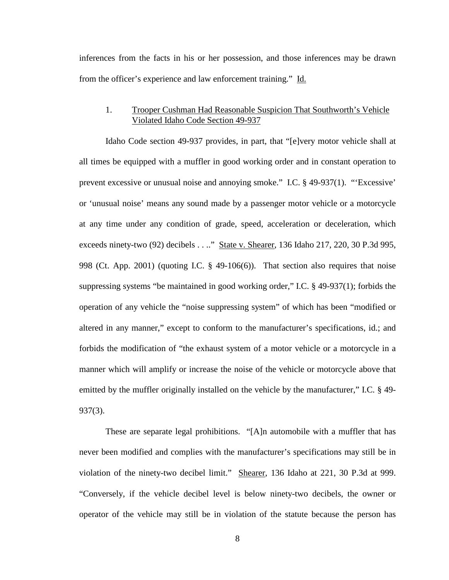inferences from the facts in his or her possession, and those inferences may be drawn from the officer's experience and law enforcement training." Id.

## 1. Trooper Cushman Had Reasonable Suspicion That Southworth's Vehicle Violated Idaho Code Section 49-937

Idaho Code section 49-937 provides, in part, that "[e]very motor vehicle shall at all times be equipped with a muffler in good working order and in constant operation to prevent excessive or unusual noise and annoying smoke." I.C. § 49-937(1). "'Excessive' or 'unusual noise' means any sound made by a passenger motor vehicle or a motorcycle at any time under any condition of grade, speed, acceleration or deceleration, which exceeds ninety-two (92) decibels . . .." State v. Shearer, 136 Idaho 217, 220, 30 P.3d 995, 998 (Ct. App. 2001) (quoting I.C. § 49-106(6)). That section also requires that noise suppressing systems "be maintained in good working order," I.C. § 49-937(1); forbids the operation of any vehicle the "noise suppressing system" of which has been "modified or altered in any manner," except to conform to the manufacturer's specifications, id.; and forbids the modification of "the exhaust system of a motor vehicle or a motorcycle in a manner which will amplify or increase the noise of the vehicle or motorcycle above that emitted by the muffler originally installed on the vehicle by the manufacturer," I.C. § 49- 937(3).

These are separate legal prohibitions. "[A]n automobile with a muffler that has never been modified and complies with the manufacturer's specifications may still be in violation of the ninety-two decibel limit." Shearer, 136 Idaho at 221, 30 P.3d at 999. "Conversely, if the vehicle decibel level is below ninety-two decibels, the owner or operator of the vehicle may still be in violation of the statute because the person has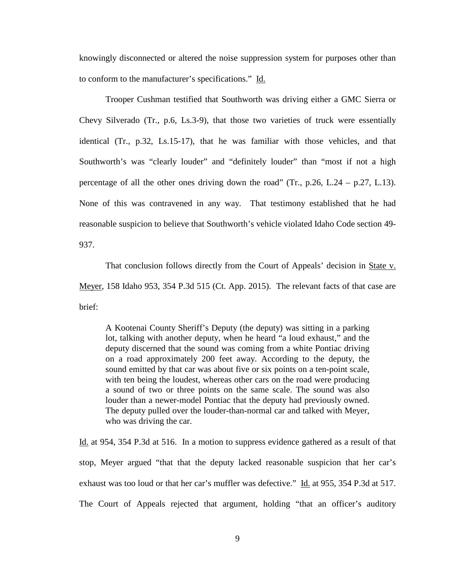knowingly disconnected or altered the noise suppression system for purposes other than to conform to the manufacturer's specifications." Id.

Trooper Cushman testified that Southworth was driving either a GMC Sierra or Chevy Silverado (Tr., p.6, Ls.3-9), that those two varieties of truck were essentially identical (Tr., p.32, Ls.15-17), that he was familiar with those vehicles, and that Southworth's was "clearly louder" and "definitely louder" than "most if not a high percentage of all the other ones driving down the road" (Tr.,  $p.26$ , L.24 –  $p.27$ , L.13). None of this was contravened in any way. That testimony established that he had reasonable suspicion to believe that Southworth's vehicle violated Idaho Code section 49- 937.

That conclusion follows directly from the Court of Appeals' decision in State v. Meyer, 158 Idaho 953, 354 P.3d 515 (Ct. App. 2015). The relevant facts of that case are brief:

A Kootenai County Sheriff's Deputy (the deputy) was sitting in a parking lot, talking with another deputy, when he heard "a loud exhaust," and the deputy discerned that the sound was coming from a white Pontiac driving on a road approximately 200 feet away. According to the deputy, the sound emitted by that car was about five or six points on a ten-point scale, with ten being the loudest, whereas other cars on the road were producing a sound of two or three points on the same scale. The sound was also louder than a newer-model Pontiac that the deputy had previously owned. The deputy pulled over the louder-than-normal car and talked with Meyer, who was driving the car.

Id. at 954, 354 P.3d at 516. In a motion to suppress evidence gathered as a result of that stop, Meyer argued "that that the deputy lacked reasonable suspicion that her car's exhaust was too loud or that her car's muffler was defective." Id. at 955, 354 P.3d at 517. The Court of Appeals rejected that argument, holding "that an officer's auditory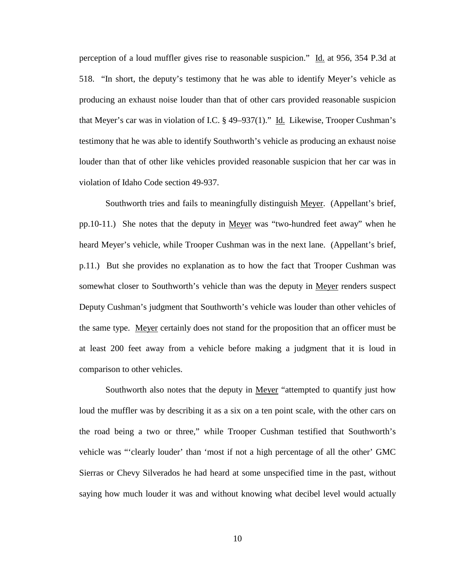perception of a loud muffler gives rise to reasonable suspicion." Id. at 956, 354 P.3d at 518. "In short, the deputy's testimony that he was able to identify Meyer's vehicle as producing an exhaust noise louder than that of other cars provided reasonable suspicion that Meyer's car was in violation of I.C.  $\S$  49–937(1)." Id. Likewise, Trooper Cushman's testimony that he was able to identify Southworth's vehicle as producing an exhaust noise louder than that of other like vehicles provided reasonable suspicion that her car was in violation of Idaho Code section 49-937.

 Southworth tries and fails to meaningfully distinguish Meyer. (Appellant's brief, pp.10-11.) She notes that the deputy in Meyer was "two-hundred feet away" when he heard Meyer's vehicle, while Trooper Cushman was in the next lane. (Appellant's brief, p.11.) But she provides no explanation as to how the fact that Trooper Cushman was somewhat closer to Southworth's vehicle than was the deputy in Meyer renders suspect Deputy Cushman's judgment that Southworth's vehicle was louder than other vehicles of the same type. Meyer certainly does not stand for the proposition that an officer must be at least 200 feet away from a vehicle before making a judgment that it is loud in comparison to other vehicles.

Southworth also notes that the deputy in Meyer "attempted to quantify just how loud the muffler was by describing it as a six on a ten point scale, with the other cars on the road being a two or three," while Trooper Cushman testified that Southworth's vehicle was "'clearly louder' than 'most if not a high percentage of all the other' GMC Sierras or Chevy Silverados he had heard at some unspecified time in the past, without saying how much louder it was and without knowing what decibel level would actually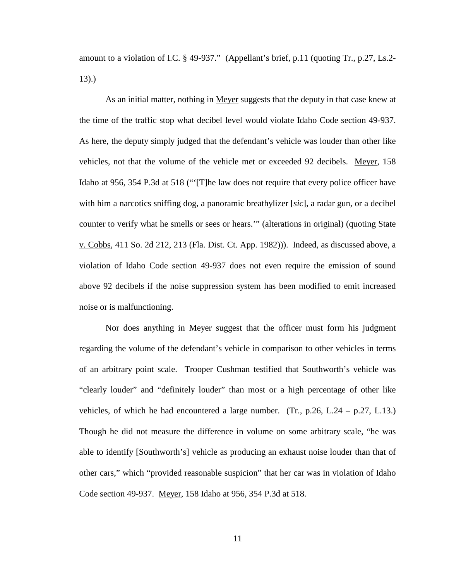amount to a violation of I.C. § 49-937." (Appellant's brief, p.11 (quoting Tr., p.27, Ls.2- 13).)

As an initial matter, nothing in Meyer suggests that the deputy in that case knew at the time of the traffic stop what decibel level would violate Idaho Code section 49-937. As here, the deputy simply judged that the defendant's vehicle was louder than other like vehicles, not that the volume of the vehicle met or exceeded 92 decibels. Meyer, 158 Idaho at 956, 354 P.3d at 518 ("'[T]he law does not require that every police officer have with him a narcotics sniffing dog, a panoramic breathylizer [*sic*], a radar gun, or a decibel counter to verify what he smells or sees or hears."" (alterations in original) (quoting State v. Cobbs, 411 So. 2d 212, 213 (Fla. Dist. Ct. App. 1982))). Indeed, as discussed above, a violation of Idaho Code section 49-937 does not even require the emission of sound above 92 decibels if the noise suppression system has been modified to emit increased noise or is malfunctioning.

Nor does anything in Meyer suggest that the officer must form his judgment regarding the volume of the defendant's vehicle in comparison to other vehicles in terms of an arbitrary point scale. Trooper Cushman testified that Southworth's vehicle was "clearly louder" and "definitely louder" than most or a high percentage of other like vehicles, of which he had encountered a large number. (Tr., p.26, L.24 – p.27, L.13.) Though he did not measure the difference in volume on some arbitrary scale, "he was able to identify [Southworth's] vehicle as producing an exhaust noise louder than that of other cars," which "provided reasonable suspicion" that her car was in violation of Idaho Code section 49-937. Meyer, 158 Idaho at 956, 354 P.3d at 518.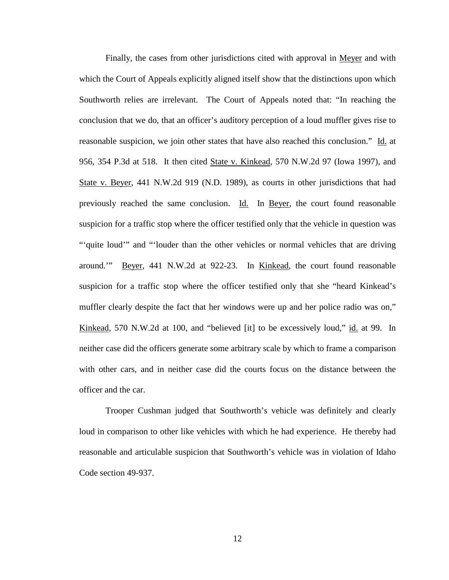Finally, the cases from other jurisdictions cited with approval in <u>Meyer</u> and with which the Court of Appeals explicitly aligned itself show that the distinctions upon which Southworth relies are irrelevant. The Court of Appeals noted that: "In reaching the conclusion that we do, that an officer's auditory perception of a loud muffler gives rise to reasonable suspicion, we join other states that have also reached this conclusion." Id. at 956, 354 P.3d at 518. It then cited State v. Kinkead, 570 N.W.2d 97 (Iowa 1997), and State v. Beyer, 441 N.W.2d 919 (N.D. 1989), as courts in other jurisdictions that had previously reached the same conclusion. Id. In Beyer, the court found reasonable suspicion for a traffic stop where the officer testified only that the vehicle in question was ""quite loud" and "'louder than the other vehicles or normal vehicles that are driving around.'" Beyer, 441 N.W.2d at 922-23. In Kinkead, the court found reasonable suspicion for a traffic stop where the officer testified only that she "heard Kinkead's muffler clearly despite the fact that her windows were up and her police radio was on," Kinkead, 570 N.W.2d at 100, and "believed [it] to be excessively loud," id. at 99. In neither case did the officers generate some arbitrary scale by which to frame a comparison with other cars, and in neither case did the courts focus on the distance between the officer and the car.

Trooper Cushman judged that Southworth's vehicle was definitely and clearly loud in comparison to other like vehicles with which he had experience. He thereby had reasonable and articulable suspicion that Southworth's vehicle was in violation of Idaho Code section 49-937.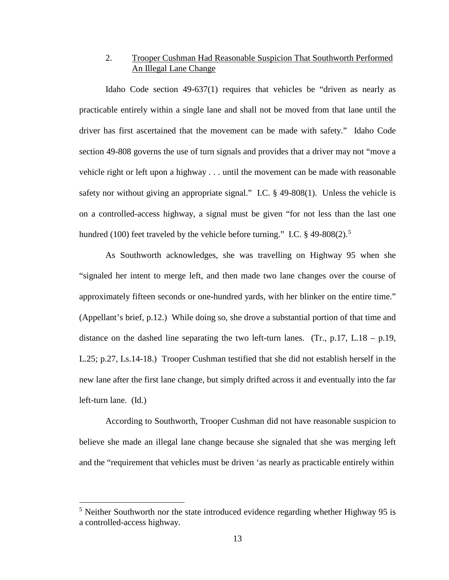## 2. Trooper Cushman Had Reasonable Suspicion That Southworth Performed An Illegal Lane Change

Idaho Code section 49-637(1) requires that vehicles be "driven as nearly as practicable entirely within a single lane and shall not be moved from that lane until the driver has first ascertained that the movement can be made with safety." Idaho Code section 49-808 governs the use of turn signals and provides that a driver may not "move a vehicle right or left upon a highway . . . until the movement can be made with reasonable safety nor without giving an appropriate signal." I.C. § 49-808(1). Unless the vehicle is on a controlled-access highway, a signal must be given "for not less than the last one hundred (100) feet traveled by the vehicle before turning." I.C.  $\S$  49-808(2).<sup>[5](#page--1-0)</sup>

As Southworth acknowledges, she was travelling on Highway 95 when she "signaled her intent to merge left, and then made two lane changes over the course of approximately fifteen seconds or one-hundred yards, with her blinker on the entire time." (Appellant's brief, p.12.) While doing so, she drove a substantial portion of that time and distance on the dashed line separating the two left-turn lanes. (Tr.,  $p.17$ , L.18 –  $p.19$ , L.25; p.27, Ls.14-18.) Trooper Cushman testified that she did not establish herself in the new lane after the first lane change, but simply drifted across it and eventually into the far left-turn lane. (Id.)

According to Southworth, Trooper Cushman did not have reasonable suspicion to believe she made an illegal lane change because she signaled that she was merging left and the "requirement that vehicles must be driven 'as nearly as practicable entirely within

 $5$  Neither Southworth nor the state introduced evidence regarding whether Highway 95 is a controlled-access highway.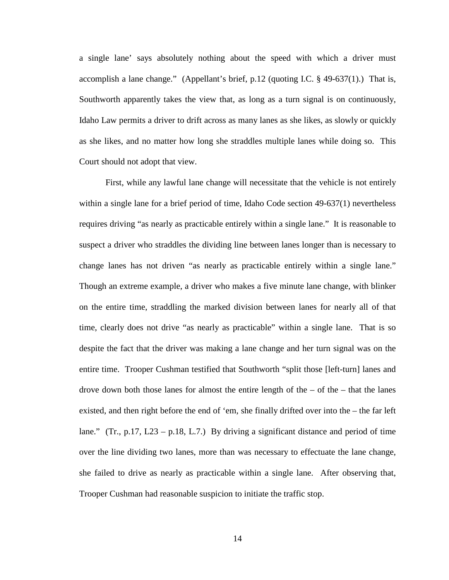a single lane' says absolutely nothing about the speed with which a driver must accomplish a lane change." (Appellant's brief, p.12 (quoting I.C. § 49-637(1).) That is, Southworth apparently takes the view that, as long as a turn signal is on continuously, Idaho Law permits a driver to drift across as many lanes as she likes, as slowly or quickly as she likes, and no matter how long she straddles multiple lanes while doing so. This Court should not adopt that view.

First, while any lawful lane change will necessitate that the vehicle is not entirely within a single lane for a brief period of time, Idaho Code section 49-637(1) nevertheless requires driving "as nearly as practicable entirely within a single lane." It is reasonable to suspect a driver who straddles the dividing line between lanes longer than is necessary to change lanes has not driven "as nearly as practicable entirely within a single lane." Though an extreme example, a driver who makes a five minute lane change, with blinker on the entire time, straddling the marked division between lanes for nearly all of that time, clearly does not drive "as nearly as practicable" within a single lane. That is so despite the fact that the driver was making a lane change and her turn signal was on the entire time. Trooper Cushman testified that Southworth "split those [left-turn] lanes and drove down both those lanes for almost the entire length of the  $-$  of the  $-$  that the lanes existed, and then right before the end of 'em, she finally drifted over into the – the far left lane." (Tr., p.17, L23 – p.18, L.7.) By driving a significant distance and period of time over the line dividing two lanes, more than was necessary to effectuate the lane change, she failed to drive as nearly as practicable within a single lane. After observing that, Trooper Cushman had reasonable suspicion to initiate the traffic stop.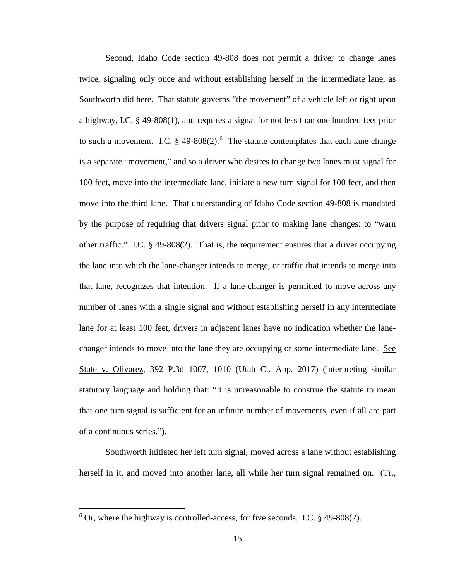Second, Idaho Code section 49-808 does not permit a driver to change lanes twice, signaling only once and without establishing herself in the intermediate lane, as Southworth did here. That statute governs "the movement" of a vehicle left or right upon a highway, I.C. § 49-808(1), and requires a signal for not less than one hundred feet prior to such a movement. I.C.  $\S$  49-808(2).<sup>[6](#page--1-3)</sup> The statute contemplates that each lane change is a separate "movement," and so a driver who desires to change two lanes must signal for 100 feet, move into the intermediate lane, initiate a new turn signal for 100 feet, and then move into the third lane. That understanding of Idaho Code section 49-808 is mandated by the purpose of requiring that drivers signal prior to making lane changes: to "warn other traffic." I.C. § 49-808(2). That is, the requirement ensures that a driver occupying the lane into which the lane-changer intends to merge, or traffic that intends to merge into that lane, recognizes that intention. If a lane-changer is permitted to move across any number of lanes with a single signal and without establishing herself in any intermediate lane for at least 100 feet, drivers in adjacent lanes have no indication whether the lanechanger intends to move into the lane they are occupying or some intermediate lane. See State v. Olivarez, 392 P.3d 1007, 1010 (Utah Ct. App. 2017) (interpreting similar statutory language and holding that: "It is unreasonable to construe the statute to mean that one turn signal is sufficient for an infinite number of movements, even if all are part of a continuous series.").

 Southworth initiated her left turn signal, moved across a lane without establishing herself in it, and moved into another lane, all while her turn signal remained on. (Tr.,

 $6$  Or, where the highway is controlled-access, for five seconds. I.C. § 49-808(2).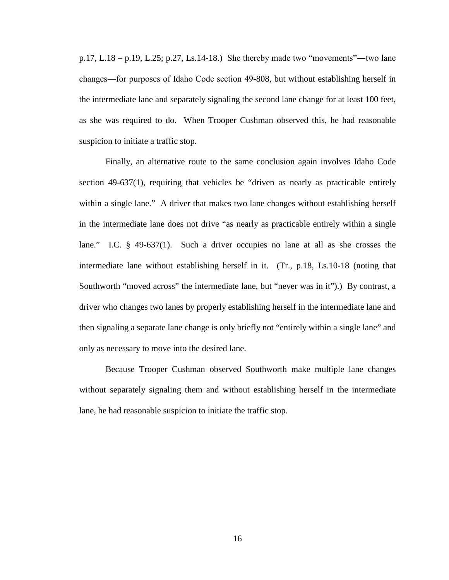p.17, L.18 – p.19, L.25; p.27, Ls.14-18.) She thereby made two "movements"―two lane changes―for purposes of Idaho Code section 49-808, but without establishing herself in the intermediate lane and separately signaling the second lane change for at least 100 feet, as she was required to do. When Trooper Cushman observed this, he had reasonable suspicion to initiate a traffic stop.

Finally, an alternative route to the same conclusion again involves Idaho Code section 49-637(1), requiring that vehicles be "driven as nearly as practicable entirely within a single lane." A driver that makes two lane changes without establishing herself in the intermediate lane does not drive "as nearly as practicable entirely within a single lane." I.C. § 49-637(1). Such a driver occupies no lane at all as she crosses the intermediate lane without establishing herself in it. (Tr., p.18, Ls.10-18 (noting that Southworth "moved across" the intermediate lane, but "never was in it").) By contrast, a driver who changes two lanes by properly establishing herself in the intermediate lane and then signaling a separate lane change is only briefly not "entirely within a single lane" and only as necessary to move into the desired lane.

Because Trooper Cushman observed Southworth make multiple lane changes without separately signaling them and without establishing herself in the intermediate lane, he had reasonable suspicion to initiate the traffic stop.